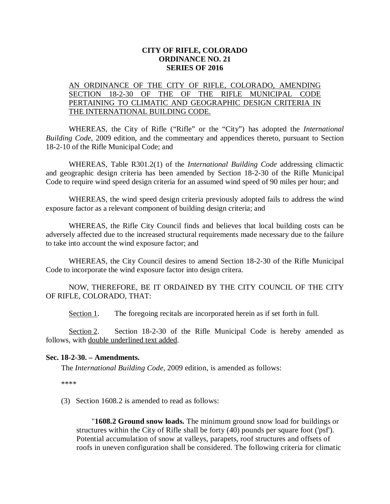## **CITY OF RIFLE, COLORADO ORDINANCE NO. 21 SERIES OF 2016**

## AN ORDINANCE OF THE CITY OF RIFLE, COLORADO, AMENDING SECTION 18-2-30 OF THE OF THE RIFLE MUNICIPAL CODE PERTAINING TO CLIMATIC AND GEOGRAPHIC DESIGN CRITERIA IN THE INTERNATIONAL BUILDING CODE.

WHEREAS, the City of Rifle ("Rifle" or the "City") has adopted the *International Building Code*, 2009 edition, and the commentary and appendices thereto, pursuant to Section 18-2-10 of the Rifle Municipal Code; and

WHEREAS, Table R301.2(1) of the *International Building Code* addressing climactic and geographic design criteria has been amended by Section 18-2-30 of the Rifle Municipal Code to require wind speed design criteria for an assumed wind speed of 90 miles per hour; and

WHEREAS, the wind speed design criteria previously adopted fails to address the wind exposure factor as a relevant component of building design criteria; and

WHEREAS, the Rifle City Council finds and believes that local building costs can be adversely affected due to the increased structural requirements made necessary due to the failure to take into account the wind exposure factor; and

WHEREAS, the City Council desires to amend Section 18-2-30 of the Rifle Municipal Code to incorporate the wind exposure factor into design critera.

NOW, THEREFORE, BE IT ORDAINED BY THE CITY COUNCIL OF THE CITY OF RIFLE, COLORADO, THAT:

Section 1. The foregoing recitals are incorporated herein as if set forth in full.

Section 2. Section 18-2-30 of the Rifle Municipal Code is hereby amended as follows, with double underlined text added.

## **Sec. 18-2-30. – Amendments.**

The *International Building Code*, 2009 edition, is amended as follows:

\*\*\*\*

(3) Section 1608.2 is amended to read as follows:

"**1608.2 Ground snow loads.** The minimum ground snow load for buildings or structures within the City of Rifle shall be forty (40) pounds per square foot ('psf'). Potential accumulation of snow at valleys, parapets, roof structures and offsets of roofs in uneven configuration shall be considered. The following criteria for climatic